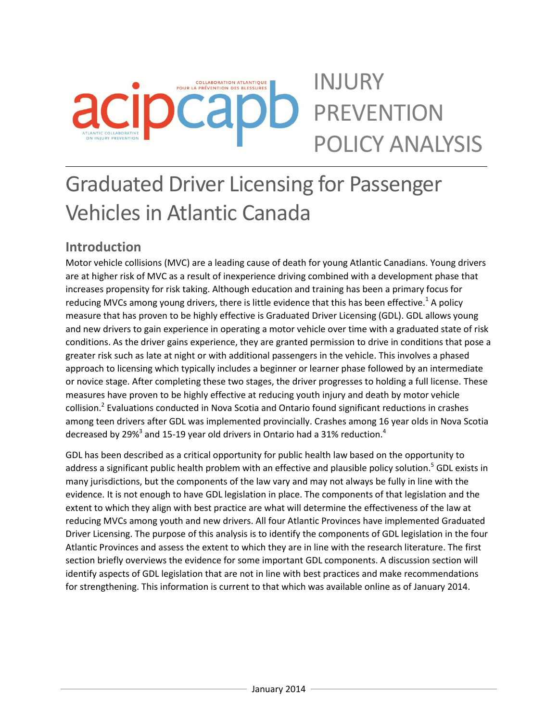# INJURY **COLLABORATION ATLANTIQUE** POUR LA PRÉVENTION DES BLESSURES PREVENTION POLICY ANALYSIS

# Graduated Driver Licensing for Passenger Vehicles in Atlantic Canada

# **Introduction**

Motor vehicle collisions (MVC) are a leading cause of death for young Atlantic Canadians. Young drivers are at higher risk of MVC as a result of inexperience driving combined with a development phase that increases propensity for risk taking. Although education and training has been a primary focus for reducing MVCs among young drivers, there is little evidence that this has been effective.<sup>1</sup> A policy measure that has proven to be highly effective is Graduated Driver Licensing (GDL). GDL allows young and new drivers to gain experience in operating a motor vehicle over time with a graduated state of risk conditions. As the driver gains experience, they are granted permission to drive in conditions that pose a greater risk such as late at night or with additional passengers in the vehicle. This involves a phased approach to licensing which typically includes a beginner or learner phase followed by an intermediate or novice stage. After completing these two stages, the driver progresses to holding a full license. These measures have proven to be highly effective at reducing youth injury and death by motor vehicle collision.<sup>2</sup> Evaluations conducted in Nova Scotia and Ontario found significant reductions in crashes among teen drivers after GDL was implemented provincially. Crashes among 16 year olds in Nova Scotia decreased by 29%<sup>3</sup> and 15-19 year old drivers in Ontario had a 31% reduction.<sup>4</sup>

GDL has been described as a critical opportunity for public health law based on the opportunity to address a significant public health problem with an effective and plausible policy solution.<sup>5</sup> GDL exists in many jurisdictions, but the components of the law vary and may not always be fully in line with the evidence. It is not enough to have GDL legislation in place. The components of that legislation and the extent to which they align with best practice are what will determine the effectiveness of the law at reducing MVCs among youth and new drivers. All four Atlantic Provinces have implemented Graduated Driver Licensing. The purpose of this analysis is to identify the components of GDL legislation in the four Atlantic Provinces and assess the extent to which they are in line with the research literature. The first section briefly overviews the evidence for some important GDL components. A discussion section will identify aspects of GDL legislation that are not in line with best practices and make recommendations for strengthening. This information is current to that which was available online as of January 2014.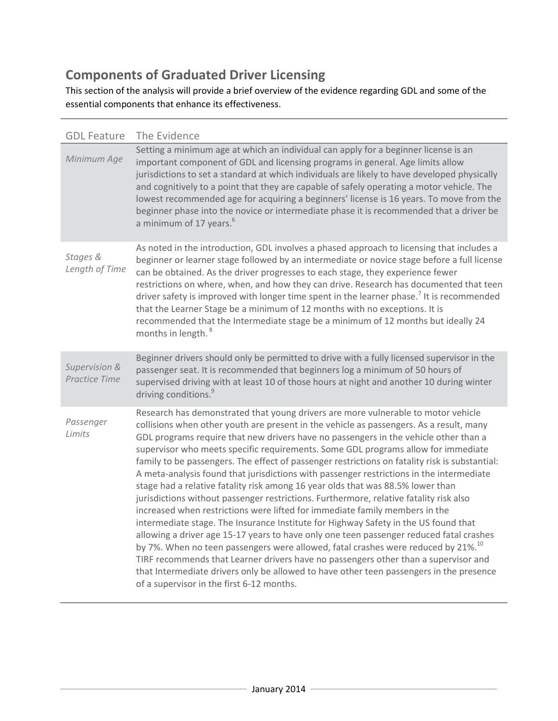# **Components of Graduated Driver Licensing**

This section of the analysis will provide a brief overview of the evidence regarding GDL and some of the essential components that enhance its effectiveness.

| <b>GDL Feature</b>                    | The Evidence                                                                                                                                                                                                                                                                                                                                                                                                                                                                                                                                                                                                                                                                                                                                                                                                                                                                                                                                                                                                                                                                                                                                                                                                                                                                                                                          |
|---------------------------------------|---------------------------------------------------------------------------------------------------------------------------------------------------------------------------------------------------------------------------------------------------------------------------------------------------------------------------------------------------------------------------------------------------------------------------------------------------------------------------------------------------------------------------------------------------------------------------------------------------------------------------------------------------------------------------------------------------------------------------------------------------------------------------------------------------------------------------------------------------------------------------------------------------------------------------------------------------------------------------------------------------------------------------------------------------------------------------------------------------------------------------------------------------------------------------------------------------------------------------------------------------------------------------------------------------------------------------------------|
| Minimum Age                           | Setting a minimum age at which an individual can apply for a beginner license is an<br>important component of GDL and licensing programs in general. Age limits allow<br>jurisdictions to set a standard at which individuals are likely to have developed physically<br>and cognitively to a point that they are capable of safely operating a motor vehicle. The<br>lowest recommended age for acquiring a beginners' license is 16 years. To move from the<br>beginner phase into the novice or intermediate phase it is recommended that a driver be<br>a minimum of 17 years. <sup>6</sup>                                                                                                                                                                                                                                                                                                                                                                                                                                                                                                                                                                                                                                                                                                                                       |
| Stages &<br>Length of Time            | As noted in the introduction, GDL involves a phased approach to licensing that includes a<br>beginner or learner stage followed by an intermediate or novice stage before a full license<br>can be obtained. As the driver progresses to each stage, they experience fewer<br>restrictions on where, when, and how they can drive. Research has documented that teen<br>driver safety is improved with longer time spent in the learner phase. <sup>7</sup> It is recommended<br>that the Learner Stage be a minimum of 12 months with no exceptions. It is<br>recommended that the Intermediate stage be a minimum of 12 months but ideally 24<br>months in length. <sup>8</sup>                                                                                                                                                                                                                                                                                                                                                                                                                                                                                                                                                                                                                                                     |
| Supervision &<br><b>Practice Time</b> | Beginner drivers should only be permitted to drive with a fully licensed supervisor in the<br>passenger seat. It is recommended that beginners log a minimum of 50 hours of<br>supervised driving with at least 10 of those hours at night and another 10 during winter<br>driving conditions. <sup>9</sup>                                                                                                                                                                                                                                                                                                                                                                                                                                                                                                                                                                                                                                                                                                                                                                                                                                                                                                                                                                                                                           |
| Passenger<br>Limits                   | Research has demonstrated that young drivers are more vulnerable to motor vehicle<br>collisions when other youth are present in the vehicle as passengers. As a result, many<br>GDL programs require that new drivers have no passengers in the vehicle other than a<br>supervisor who meets specific requirements. Some GDL programs allow for immediate<br>family to be passengers. The effect of passenger restrictions on fatality risk is substantial:<br>A meta-analysis found that jurisdictions with passenger restrictions in the intermediate<br>stage had a relative fatality risk among 16 year olds that was 88.5% lower than<br>jurisdictions without passenger restrictions. Furthermore, relative fatality risk also<br>increased when restrictions were lifted for immediate family members in the<br>intermediate stage. The Insurance Institute for Highway Safety in the US found that<br>allowing a driver age 15-17 years to have only one teen passenger reduced fatal crashes<br>by 7%. When no teen passengers were allowed, fatal crashes were reduced by 21%. <sup>10</sup><br>TIRF recommends that Learner drivers have no passengers other than a supervisor and<br>that Intermediate drivers only be allowed to have other teen passengers in the presence<br>of a supervisor in the first 6-12 months. |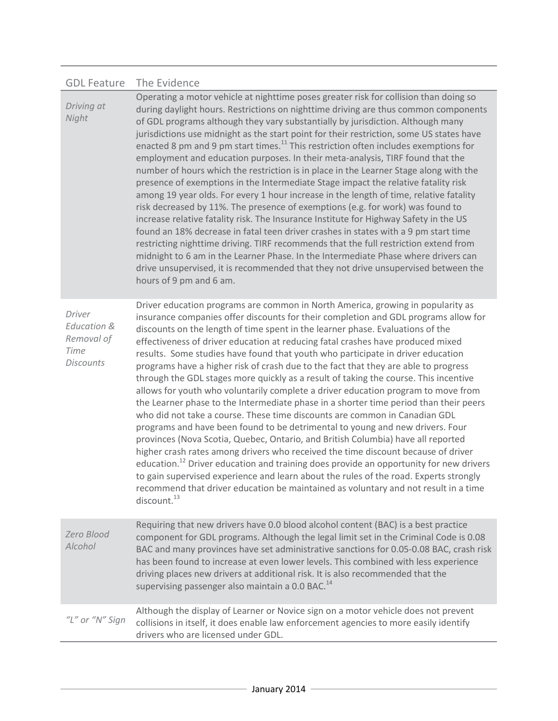### GDL Feature The Evidence

| Driving at<br>Night                                                               | Operating a motor vehicle at nighttime poses greater risk for collision than doing so<br>during daylight hours. Restrictions on nighttime driving are thus common components<br>of GDL programs although they vary substantially by jurisdiction. Although many<br>jurisdictions use midnight as the start point for their restriction, some US states have<br>enacted 8 pm and 9 pm start times. <sup>11</sup> This restriction often includes exemptions for<br>employment and education purposes. In their meta-analysis, TIRF found that the<br>number of hours which the restriction is in place in the Learner Stage along with the<br>presence of exemptions in the Intermediate Stage impact the relative fatality risk<br>among 19 year olds. For every 1 hour increase in the length of time, relative fatality<br>risk decreased by 11%. The presence of exemptions (e.g. for work) was found to<br>increase relative fatality risk. The Insurance Institute for Highway Safety in the US<br>found an 18% decrease in fatal teen driver crashes in states with a 9 pm start time<br>restricting nighttime driving. TIRF recommends that the full restriction extend from<br>midnight to 6 am in the Learner Phase. In the Intermediate Phase where drivers can<br>drive unsupervised, it is recommended that they not drive unsupervised between the<br>hours of 9 pm and 6 am. |
|-----------------------------------------------------------------------------------|--------------------------------------------------------------------------------------------------------------------------------------------------------------------------------------------------------------------------------------------------------------------------------------------------------------------------------------------------------------------------------------------------------------------------------------------------------------------------------------------------------------------------------------------------------------------------------------------------------------------------------------------------------------------------------------------------------------------------------------------------------------------------------------------------------------------------------------------------------------------------------------------------------------------------------------------------------------------------------------------------------------------------------------------------------------------------------------------------------------------------------------------------------------------------------------------------------------------------------------------------------------------------------------------------------------------------------------------------------------------------------------------|
| Driver<br><b>Education &amp;</b><br>Removal of<br><b>Time</b><br><b>Discounts</b> | Driver education programs are common in North America, growing in popularity as<br>insurance companies offer discounts for their completion and GDL programs allow for<br>discounts on the length of time spent in the learner phase. Evaluations of the<br>effectiveness of driver education at reducing fatal crashes have produced mixed<br>results. Some studies have found that youth who participate in driver education<br>programs have a higher risk of crash due to the fact that they are able to progress                                                                                                                                                                                                                                                                                                                                                                                                                                                                                                                                                                                                                                                                                                                                                                                                                                                                      |

through the GDL stages more quickly as a result of taking the course. This incentive allows for youth who voluntarily complete a driver education program to move from the Learner phase to the Intermediate phase in a shorter time period than their peers who did not take a course. These time discounts are common in Canadian GDL programs and have been found to be detrimental to young and new drivers. Four provinces (Nova Scotia, Quebec, Ontario, and British Columbia) have all reported higher crash rates among drivers who received the time discount because of driver education.<sup>12</sup> Driver education and training does provide an opportunity for new drivers to gain supervised experience and learn about the rules of the road. Experts strongly recommend that driver education be maintained as voluntary and not result in a time  $discount.<sup>13</sup>$ 

| Zero Blood<br>Alcohol | Requiring that new drivers have 0.0 blood alcohol content (BAC) is a best practice<br>component for GDL programs. Although the legal limit set in the Criminal Code is 0.08<br>BAC and many provinces have set administrative sanctions for 0.05-0.08 BAC, crash risk<br>has been found to increase at even lower levels. This combined with less experience<br>driving places new drivers at additional risk. It is also recommended that the<br>supervising passenger also maintain a 0.0 BAC. <sup>14</sup> |
|-----------------------|----------------------------------------------------------------------------------------------------------------------------------------------------------------------------------------------------------------------------------------------------------------------------------------------------------------------------------------------------------------------------------------------------------------------------------------------------------------------------------------------------------------|
| "L" or "N" Sign       | Although the display of Learner or Novice sign on a motor vehicle does not prevent<br>collisions in itself, it does enable law enforcement agencies to more easily identify<br>drivers who are licensed under GDL.                                                                                                                                                                                                                                                                                             |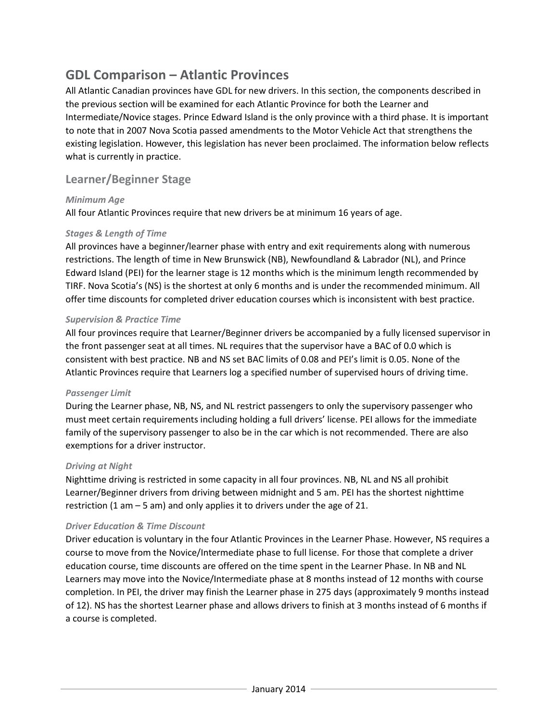## **GDL Comparison – Atlantic Provinces**

All Atlantic Canadian provinces have GDL for new drivers. In this section, the components described in the previous section will be examined for each Atlantic Province for both the Learner and Intermediate/Novice stages. Prince Edward Island is the only province with a third phase. It is important to note that in 2007 Nova Scotia passed amendments to the Motor Vehicle Act that strengthens the existing legislation. However, this legislation has never been proclaimed. The information below reflects what is currently in practice.

## **Learner/Beginner Stage**

#### *Minimum Age*

All four Atlantic Provinces require that new drivers be at minimum 16 years of age.

#### *Stages & Length of Time*

All provinces have a beginner/learner phase with entry and exit requirements along with numerous restrictions. The length of time in New Brunswick (NB), Newfoundland & Labrador (NL), and Prince Edward Island (PEI) for the learner stage is 12 months which is the minimum length recommended by TIRF. Nova Scotia's (NS) is the shortest at only 6 months and is under the recommended minimum. All offer time discounts for completed driver education courses which is inconsistent with best practice.

#### *Supervision & Practice Time*

All four provinces require that Learner/Beginner drivers be accompanied by a fully licensed supervisor in the front passenger seat at all times. NL requires that the supervisor have a BAC of 0.0 which is consistent with best practice. NB and NS set BAC limits of 0.08 and PEI's limit is 0.05. None of the Atlantic Provinces require that Learners log a specified number of supervised hours of driving time.

#### *Passenger Limit*

During the Learner phase, NB, NS, and NL restrict passengers to only the supervisory passenger who must meet certain requirements including holding a full drivers' license. PEI allows for the immediate family of the supervisory passenger to also be in the car which is not recommended. There are also exemptions for a driver instructor.

#### *Driving at Night*

Nighttime driving is restricted in some capacity in all four provinces. NB, NL and NS all prohibit Learner/Beginner drivers from driving between midnight and 5 am. PEI has the shortest nighttime restriction (1 am – 5 am) and only applies it to drivers under the age of 21.

#### *Driver Education & Time Discount*

Driver education is voluntary in the four Atlantic Provinces in the Learner Phase. However, NS requires a course to move from the Novice/Intermediate phase to full license. For those that complete a driver education course, time discounts are offered on the time spent in the Learner Phase. In NB and NL Learners may move into the Novice/Intermediate phase at 8 months instead of 12 months with course completion. In PEI, the driver may finish the Learner phase in 275 days (approximately 9 months instead of 12). NS has the shortest Learner phase and allows drivers to finish at 3 months instead of 6 months if a course is completed.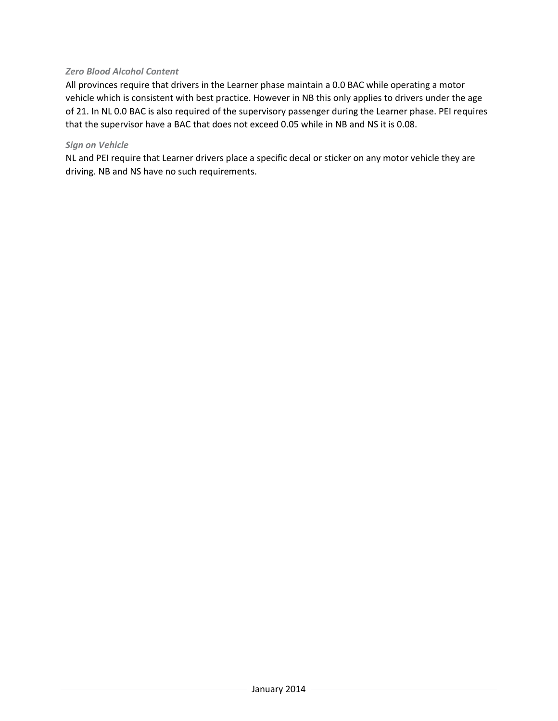#### *Zero Blood Alcohol Content*

All provinces require that drivers in the Learner phase maintain a 0.0 BAC while operating a motor vehicle which is consistent with best practice. However in NB this only applies to drivers under the age of 21. In NL 0.0 BAC is also required of the supervisory passenger during the Learner phase. PEI requires that the supervisor have a BAC that does not exceed 0.05 while in NB and NS it is 0.08.

#### *Sign on Vehicle*

NL and PEI require that Learner drivers place a specific decal or sticker on any motor vehicle they are driving. NB and NS have no such requirements.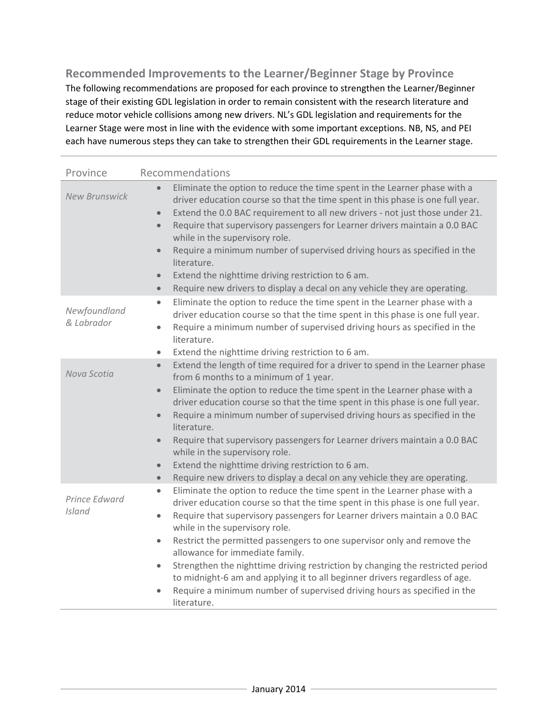**Recommended Improvements to the Learner/Beginner Stage by Province** The following recommendations are proposed for each province to strengthen the Learner/Beginner stage of their existing GDL legislation in order to remain consistent with the research literature and reduce motor vehicle collisions among new drivers. NL's GDL legislation and requirements for the Learner Stage were most in line with the evidence with some important exceptions. NB, NS, and PEI each have numerous steps they can take to strengthen their GDL requirements in the Learner stage.

| Province                   | Recommendations                                                                                                                                                                                                                                                                                                                                                                                                                                                                                                                                                                                                                                                                                                  |
|----------------------------|------------------------------------------------------------------------------------------------------------------------------------------------------------------------------------------------------------------------------------------------------------------------------------------------------------------------------------------------------------------------------------------------------------------------------------------------------------------------------------------------------------------------------------------------------------------------------------------------------------------------------------------------------------------------------------------------------------------|
| <b>New Brunswick</b>       | Eliminate the option to reduce the time spent in the Learner phase with a<br>driver education course so that the time spent in this phase is one full year.<br>Extend the 0.0 BAC requirement to all new drivers - not just those under 21.<br>$\bullet$<br>Require that supervisory passengers for Learner drivers maintain a 0.0 BAC<br>$\bullet$<br>while in the supervisory role.<br>Require a minimum number of supervised driving hours as specified in the<br>$\bullet$<br>literature.<br>Extend the nighttime driving restriction to 6 am.<br>$\bullet$<br>Require new drivers to display a decal on any vehicle they are operating.<br>$\bullet$                                                        |
| Newfoundland<br>& Labrador | Eliminate the option to reduce the time spent in the Learner phase with a<br>$\bullet$<br>driver education course so that the time spent in this phase is one full year.<br>Require a minimum number of supervised driving hours as specified in the<br>$\bullet$<br>literature.<br>Extend the nighttime driving restriction to 6 am.<br>$\bullet$                                                                                                                                                                                                                                                                                                                                                               |
| Nova Scotia                | Extend the length of time required for a driver to spend in the Learner phase<br>$\bullet$<br>from 6 months to a minimum of 1 year.<br>Eliminate the option to reduce the time spent in the Learner phase with a<br>$\bullet$<br>driver education course so that the time spent in this phase is one full year.<br>Require a minimum number of supervised driving hours as specified in the<br>$\bullet$<br>literature.<br>Require that supervisory passengers for Learner drivers maintain a 0.0 BAC<br>$\bullet$<br>while in the supervisory role.<br>Extend the nighttime driving restriction to 6 am.<br>$\bullet$<br>Require new drivers to display a decal on any vehicle they are operating.<br>$\bullet$ |
| Prince Edward<br>Island    | Eliminate the option to reduce the time spent in the Learner phase with a<br>$\bullet$<br>driver education course so that the time spent in this phase is one full year.<br>Require that supervisory passengers for Learner drivers maintain a 0.0 BAC<br>$\bullet$<br>while in the supervisory role.<br>Restrict the permitted passengers to one supervisor only and remove the<br>$\bullet$<br>allowance for immediate family.<br>Strengthen the nighttime driving restriction by changing the restricted period<br>to midnight-6 am and applying it to all beginner drivers regardless of age.<br>Require a minimum number of supervised driving hours as specified in the<br>$\bullet$<br>literature.        |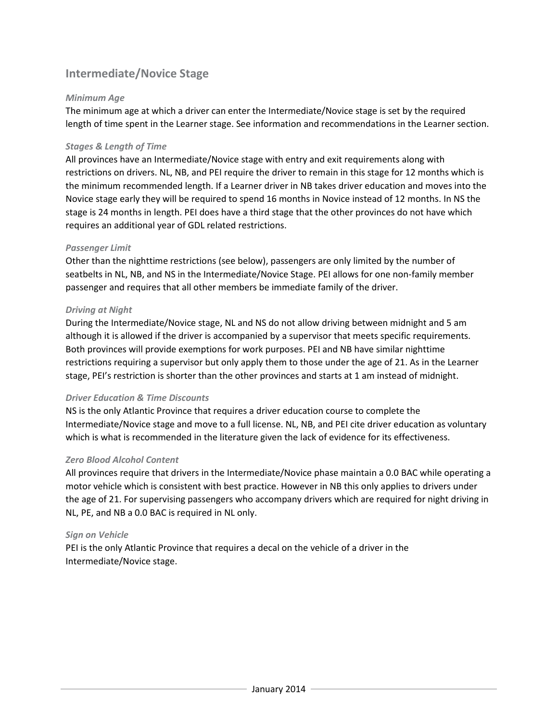## **Intermediate/Novice Stage**

#### *Minimum Age*

The minimum age at which a driver can enter the Intermediate/Novice stage is set by the required length of time spent in the Learner stage. See information and recommendations in the Learner section.

#### *Stages & Length of Time*

All provinces have an Intermediate/Novice stage with entry and exit requirements along with restrictions on drivers. NL, NB, and PEI require the driver to remain in this stage for 12 months which is the minimum recommended length. If a Learner driver in NB takes driver education and moves into the Novice stage early they will be required to spend 16 months in Novice instead of 12 months. In NS the stage is 24 months in length. PEI does have a third stage that the other provinces do not have which requires an additional year of GDL related restrictions.

#### *Passenger Limit*

Other than the nighttime restrictions (see below), passengers are only limited by the number of seatbelts in NL, NB, and NS in the Intermediate/Novice Stage. PEI allows for one non-family member passenger and requires that all other members be immediate family of the driver.

#### *Driving at Night*

During the Intermediate/Novice stage, NL and NS do not allow driving between midnight and 5 am although it is allowed if the driver is accompanied by a supervisor that meets specific requirements. Both provinces will provide exemptions for work purposes. PEI and NB have similar nighttime restrictions requiring a supervisor but only apply them to those under the age of 21. As in the Learner stage, PEI's restriction is shorter than the other provinces and starts at 1 am instead of midnight.

#### *Driver Education & Time Discounts*

NS is the only Atlantic Province that requires a driver education course to complete the Intermediate/Novice stage and move to a full license. NL, NB, and PEI cite driver education as voluntary which is what is recommended in the literature given the lack of evidence for its effectiveness.

#### *Zero Blood Alcohol Content*

All provinces require that drivers in the Intermediate/Novice phase maintain a 0.0 BAC while operating a motor vehicle which is consistent with best practice. However in NB this only applies to drivers under the age of 21. For supervising passengers who accompany drivers which are required for night driving in NL, PE, and NB a 0.0 BAC is required in NL only.

#### *Sign on Vehicle*

PEI is the only Atlantic Province that requires a decal on the vehicle of a driver in the Intermediate/Novice stage.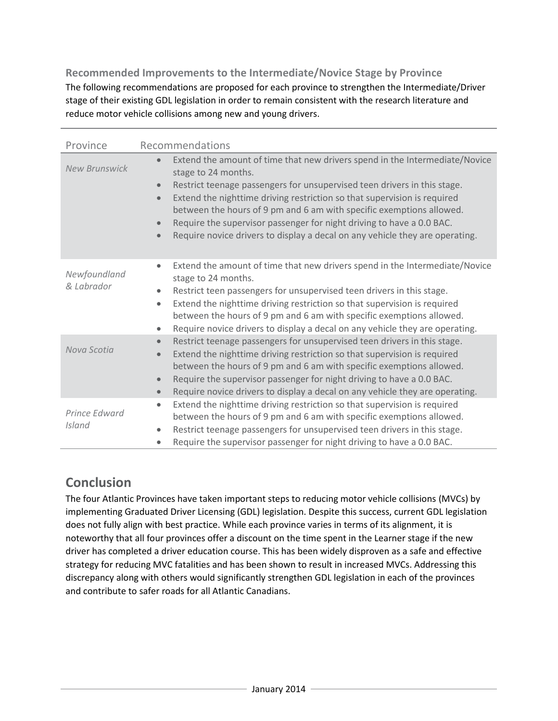## **Recommended Improvements to the Intermediate/Novice Stage by Province**

The following recommendations are proposed for each province to strengthen the Intermediate/Driver stage of their existing GDL legislation in order to remain consistent with the research literature and reduce motor vehicle collisions among new and young drivers.

| Province                   | Recommendations                                                                                                                                                                                                                                                                                                                                                                                                                                                                                                                                              |
|----------------------------|--------------------------------------------------------------------------------------------------------------------------------------------------------------------------------------------------------------------------------------------------------------------------------------------------------------------------------------------------------------------------------------------------------------------------------------------------------------------------------------------------------------------------------------------------------------|
| <b>New Brunswick</b>       | Extend the amount of time that new drivers spend in the Intermediate/Novice<br>$\bullet$<br>stage to 24 months.<br>Restrict teenage passengers for unsupervised teen drivers in this stage.<br>$\bullet$<br>Extend the nighttime driving restriction so that supervision is required<br>$\bullet$<br>between the hours of 9 pm and 6 am with specific exemptions allowed.<br>Require the supervisor passenger for night driving to have a 0.0 BAC.<br>$\bullet$<br>Require novice drivers to display a decal on any vehicle they are operating.<br>$\bullet$ |
| Newfoundland<br>& Labrador | Extend the amount of time that new drivers spend in the Intermediate/Novice<br>$\bullet$<br>stage to 24 months.<br>Restrict teen passengers for unsupervised teen drivers in this stage.<br>Extend the nighttime driving restriction so that supervision is required<br>$\bullet$<br>between the hours of 9 pm and 6 am with specific exemptions allowed.<br>Require novice drivers to display a decal on any vehicle they are operating.<br>$\bullet$                                                                                                       |
| Nova Scotia                | Restrict teenage passengers for unsupervised teen drivers in this stage.<br>Extend the nighttime driving restriction so that supervision is required<br>between the hours of 9 pm and 6 am with specific exemptions allowed.<br>Require the supervisor passenger for night driving to have a 0.0 BAC.<br>$\bullet$<br>Require novice drivers to display a decal on any vehicle they are operating.<br>$\bullet$                                                                                                                                              |
| Prince Edward<br>Island    | Extend the nighttime driving restriction so that supervision is required<br>$\bullet$<br>between the hours of 9 pm and 6 am with specific exemptions allowed.<br>Restrict teenage passengers for unsupervised teen drivers in this stage.<br>$\bullet$<br>Require the supervisor passenger for night driving to have a 0.0 BAC.<br>$\bullet$                                                                                                                                                                                                                 |

## **Conclusion**

The four Atlantic Provinces have taken important steps to reducing motor vehicle collisions (MVCs) by implementing Graduated Driver Licensing (GDL) legislation. Despite this success, current GDL legislation does not fully align with best practice. While each province varies in terms of its alignment, it is noteworthy that all four provinces offer a discount on the time spent in the Learner stage if the new driver has completed a driver education course. This has been widely disproven as a safe and effective strategy for reducing MVC fatalities and has been shown to result in increased MVCs. Addressing this discrepancy along with others would significantly strengthen GDL legislation in each of the provinces and contribute to safer roads for all Atlantic Canadians.